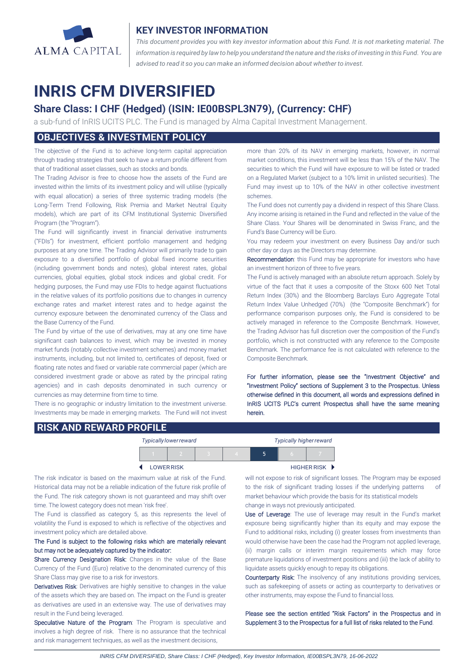

## **KEY INVESTOR INFORMATION**

*This document provides you with key investor information about this Fund. It is not marketing material. The* information is required by law to help you understand the nature and the risks of investing in this Fund. You are *advised to read it so you can make an informed decision about whether to invest.*

# **INRIS CFM DIVERSIFIED**

## **Share Class: I CHF (Hedged) (ISIN: IE00BSPL3N79), (Currency: CHF)**

a sub-fund of InRIS UCITS PLC. The Fund is managed by Alma Capital Investment Management.

## **OBJECTIVES & INVESTMENT POLICY**

The objective of the Fund is to achieve long-term capital appreciation through trading strategies that seek to have a return profile different from that of traditional asset classes, such as stocks and bonds.

The Trading Advisor is free to choose how the assets of the Fund are invested within the limits of its investment policy and will utilise (typically with equal allocation) a series of three systemic trading models (the Long-Term Trend Following, Risk Premia and Market Neutral Equity models), which are part of its CFM Institutional Systemic Diversified Program (the "Program").

The Fund will significantly invest in financial derivative instruments ("FDIs") for investment, efficient portfolio management and hedging purposes at any one time. The Trading Advisor will primarily trade to gain exposure to a diversified portfolio of global fixed income securities (including government bonds and notes), global interest rates, global currencies, global equities, global stock indices and global credit. For hedging purposes, the Fund may use FDIs to hedge against fluctuations in the relative values of its portfolio positions due to changes in currency exchange rates and market interest rates and to hedge against the currency exposure between the denominated currency of the Class and the Base Currency of the Fund.

The Fund by virtue of the use of derivatives, may at any one time have significant cash balances to invest, which may be invested in money market funds (notably collective investment schemes) and money market instruments, including, but not limited to, certificates of deposit, fixed or floating rate notes and fixed or variable rate commercial paper (which are considered investment grade or above as rated by the principal rating agencies) and in cash deposits denominated in such currency or currencies as may determine from time to time.

There is no geographic or industry limitation to the investment universe. Investments may be made in emerging markets. The Fund will not invest more than 20% of its NAV in emerging markets, however, in normal market conditions, this investment will be less than 15% of the NAV. The securities to which the Fund will have exposure to will be listed or traded on a Regulated Market (subject to a 10% limit in unlisted securities). The Fund may invest up to 10% of the NAV in other collective investment schemes.

The Fund does not currently pay a dividend in respect of this Share Class. Any income arising is retained in the Fund and reflected in the value of the Share Class. Your Shares will be denominated in Swiss Franc, and the Fund's Base Currency will be Euro.

You may redeem your investment on every Business Day and/or such other day or days as the Directors may determine.

Recommendation: this Fund may be appropriate for investors who have an investment horizon of three to five years.

The Fund is actively managed with an absolute return approach. Solely by virtue of the fact that it uses a composite of the Stoxx 600 Net Total Return Index (30%) and the Bloomberg Barclays Euro Aggregate Total Return Index Value Unhedged (70%) (the "Composite Benchmark") for performance comparison purposes only, the Fund is considered to be actively managed in reference to the Composite Benchmark. However, the Trading Advisor has full discretion over the composition of the Fund's portfolio, which is not constructed with any reference to the Composite Benchmark. The performance fee is not calculated with reference to the Composite Benchmark.

For further information, please see the "Investment Objective" and "Investment Policy" sections of Supplement 3 to the Prospectus. Unless otherwise defined in this document, all words and expressions defined in InRIS UCITS PLC's current Prospectus shall have the same meaning herein.

## **RISK AND REWARD PROFILE**

|                                 | <b>Typically lower reward</b> |  | <b>Typically higher reward</b> |  |  |  |  |
|---------------------------------|-------------------------------|--|--------------------------------|--|--|--|--|
|                                 |                               |  | $\overline{ }$                 |  |  |  |  |
| HIGHER RISK<br><b>LOWERRISK</b> |                               |  |                                |  |  |  |  |

The risk indicator is based on the maximum value at risk of the Fund. Historical data may not be a reliable indication of the future risk profile of the Fund. The risk category shown is not guaranteed and may shift over time. The lowest category does not mean 'risk free'

The Fund is classified as category 5, as this represents the level of volatility the Fund is exposed to which is reflective of the objectives and investment policy which are detailed above.

### The Fund is subject to the following risks which are materially relevant but may not be adequately captured by the indicator:

Share Currency Designation Risk: Changes in the value of the Base Currency of the Fund (Euro) relative to the denominated currency of this Share Class may give rise to a risk for investors.

Derivatives Risk: Derivatives are highly sensitive to changes in the value of the assets which they are based on. The impact on the Fund is greater as derivatives are used in an extensive way. The use of derivatives may result in the Fund being leveraged.

Speculative Nature of the Program: The Program is speculative and involves a high degree of risk. There is no assurance that the technical and risk management techniques, as well as the investment decisions,

will not expose to risk of significant losses. The Program may be exposed to the risk of significant trading losses if the underlying patterns market behaviour which provide the basis for its statistical models change in ways not previously anticipated.

Use of Leverage: The use of leverage may result in the Fund's market exposure being significantly higher than its equity and may expose the Fund to additional risks, including (i) greater losses from investments than would otherwise have been the case had the Program not applied leverage, (ii) margin calls or interim margin requirements which may force premature liquidations of investment positions and (iii) the lack of ability to liquidate assets quickly enough to repay its obligations.

Counterparty Risk: The insolvency of any institutions providing services, such as safekeeping of assets or acting as counterparty to derivatives or other instruments, may expose the Fund to financial loss.

Please see the section entitled "Risk Factors" in the Prospectus and in Supplement 3 to the Prospectus for a full list of risks related to the Fund.